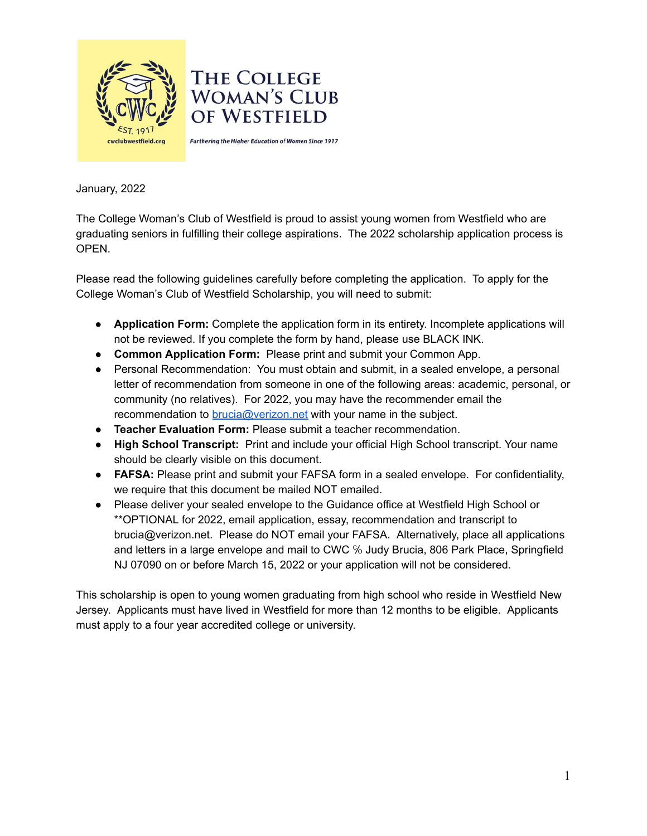

January, 2022

The College Woman's Club of Westfield is proud to assist young women from Westfield who are graduating seniors in fulfilling their college aspirations. The 2022 scholarship application process is OPEN.

Please read the following guidelines carefully before completing the application. To apply for the College Woman's Club of Westfield Scholarship, you will need to submit:

- **Application Form:** Complete the application form in its entirety. Incomplete applications will not be reviewed. If you complete the form by hand, please use BLACK INK.
- **Common Application Form:** Please print and submit your Common App.
- Personal Recommendation: You must obtain and submit, in a sealed envelope, a personal letter of recommendation from someone in one of the following areas: academic, personal, or community (no relatives). For 2022, you may have the recommender email the recommendation to [brucia@verizon.net](mailto:brucia@verizon.net) with your name in the subject.
- **Teacher Evaluation Form:** Please submit a teacher recommendation.
- **High School Transcript:** Print and include your official High School transcript. Your name should be clearly visible on this document.
- **FAFSA:** Please print and submit your FAFSA form in a sealed envelope. For confidentiality, we require that this document be mailed NOT emailed.
- Please deliver your sealed envelope to the Guidance office at Westfield High School or \*\*OPTIONAL for 2022, email application, essay, recommendation and transcript to brucia@verizon.net. Please do NOT email your FAFSA. Alternatively, place all applications and letters in a large envelope and mail to CWC ℅ Judy Brucia, 806 Park Place, Springfield NJ 07090 on or before March 15, 2022 or your application will not be considered.

This scholarship is open to young women graduating from high school who reside in Westfield New Jersey. Applicants must have lived in Westfield for more than 12 months to be eligible. Applicants must apply to a four year accredited college or university.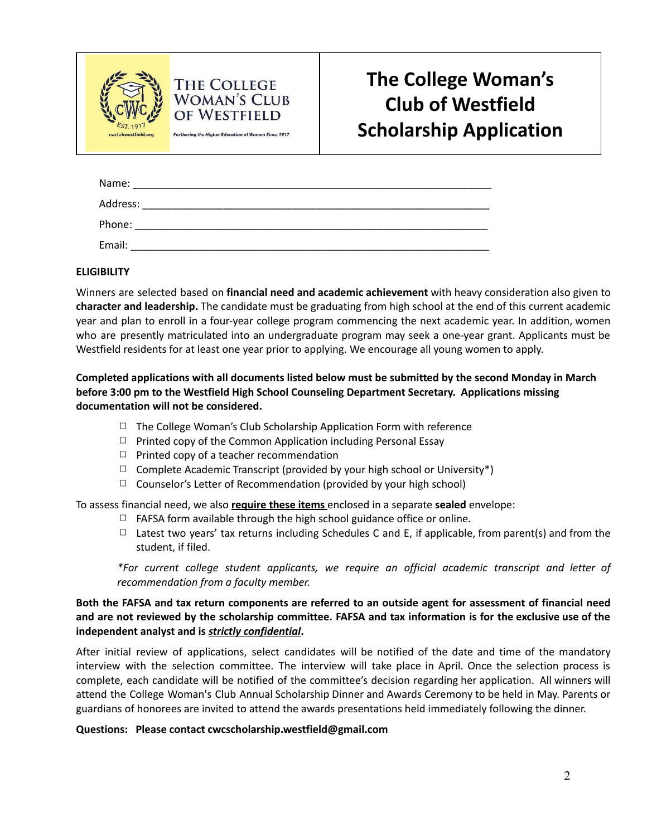

# **The College Woman's Club of Westfield Scholarship Application**

| Name:    |  |
|----------|--|
| Address: |  |
| Phone:   |  |
| Email:   |  |

## **ELIGIBILITY**

Winners are selected based on **financial need and academic achievement** with heavy consideration also given to **character and leadership.** The candidate must be graduating from high school at the end of this current academic year and plan to enroll in a four-year college program commencing the next academic year. In addition, women who are presently matriculated into an undergraduate program may seek a one-year grant. Applicants must be Westfield residents for at least one year prior to applying. We encourage all young women to apply.

## **Completed applications with all documents listed below must be submitted by the second Monday in March before 3:00 pm to the Westfield High School Counseling Department Secretary. Applications missing documentation will not be considered.**

- $\Box$  The College Woman's Club Scholarship Application Form with reference
- $\Box$  Printed copy of the Common Application including Personal Essay
- $\Box$  Printed copy of a teacher recommendation

**THE COLLEGE WOMAN'S CLUB** of Westfield Furthering the Higher Education of Women Since 1917

- $\Box$  Complete Academic Transcript (provided by your high school or University\*)
- ◻ Counselor's Letter of Recommendation (provided by your high school)

To assess financial need, we also **require these items** enclosed in a separate **sealed** envelope:

- $\Box$  FAFSA form available through the high school guidance office or online.
- $\Box$  Latest two years' tax returns including Schedules C and E, if applicable, from parent(s) and from the student, if filed.

*\*For current college student applicants, we require an official academic transcript and letter of recommendation from a faculty member.*

## Both the FAFSA and tax return components are referred to an outside agent for assessment of financial need and are not reviewed by the scholarship committee. FAFSA and tax information is for the exclusive use of the **independent analyst and is** *strictly confidential***.**

After initial review of applications, select candidates will be notified of the date and time of the mandatory interview with the selection committee. The interview will take place in April. Once the selection process is complete, each candidate will be notified of the committee's decision regarding her application. All winners will attend the College Woman's Club Annual Scholarship Dinner and Awards Ceremony to be held in May. Parents or guardians of honorees are invited to attend the awards presentations held immediately following the dinner.

#### **Questions: Please contact cwcscholarship.westfield@gmail.com**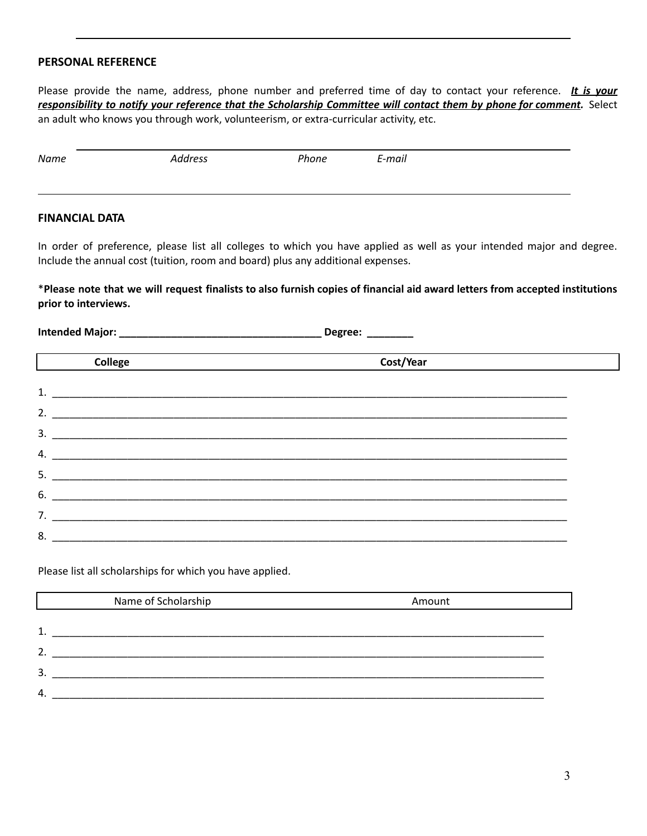#### **PERSONAL REFERENCE**

Please provide the name, address, phone number and preferred time of day to contact your reference. *It is your* responsibility to notify your reference that the Scholarship Committee will contact them by phone for comment. Select an adult who knows you through work, volunteerism, or extra-curricular activity, etc.

#### **FINANCIAL DATA**

In order of preference, please list all colleges to which you have applied as well as your intended major and degree. Include the annual cost (tuition, room and board) plus any additional expenses.

\*Please note that we will request finalists to also furnish copies of financial aid award letters from accepted institutions **prior to interviews.**

**Intended Major: \_\_\_\_\_\_\_\_\_\_\_\_\_\_\_\_\_\_\_\_\_\_\_\_\_\_\_\_\_\_\_\_\_\_\_ Degree: \_\_\_\_\_\_\_\_**

| <b>College</b> | Cost/Year |  |
|----------------|-----------|--|
|                |           |  |
| 1.             |           |  |
| 2.             |           |  |
| 3.             |           |  |
| 4.             |           |  |
| 5.             |           |  |
| 6.             |           |  |
| 7.             |           |  |
| 8.             |           |  |

Please list all scholarships for which you have applied.

|              | Name of Scholarship | Amount |
|--------------|---------------------|--------|
|              |                     |        |
| 1.           |                     |        |
| 2.           |                     |        |
| 3.           |                     |        |
| $\mathbf{4}$ |                     |        |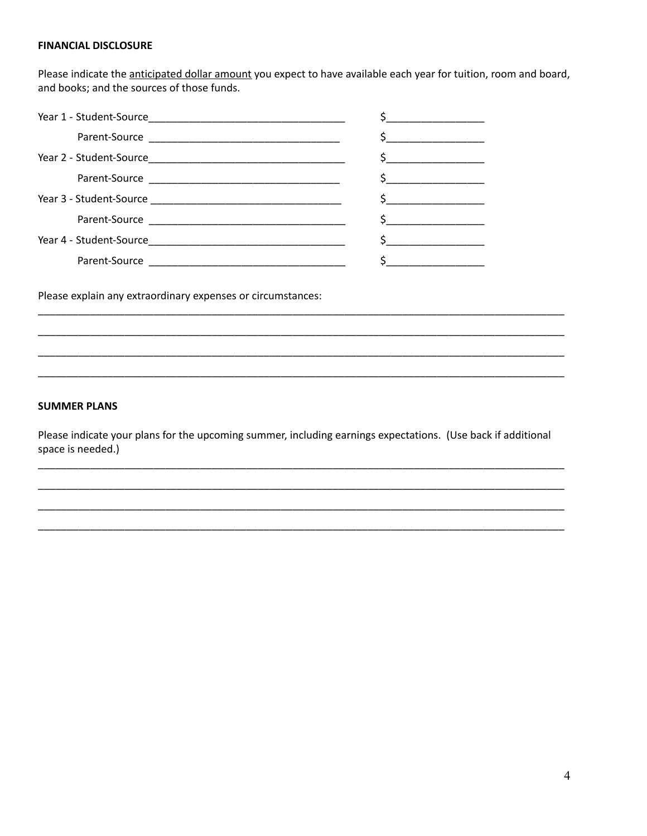#### **FINANCIAL DISCLOSURE**

Please indicate the anticipated dollar amount you expect to have available each year for tuition, room and board, and books; and the sources of those funds.

| <u> 1986 - Jan Bernard Barbara, prima prima prima prima prima prima prima prima prima prima prima prima prima pri</u>                                                                                                                                                                            |
|--------------------------------------------------------------------------------------------------------------------------------------------------------------------------------------------------------------------------------------------------------------------------------------------------|
|                                                                                                                                                                                                                                                                                                  |
| $\sim$                                                                                                                                                                                                                                                                                           |
| \$                                                                                                                                                                                                                                                                                               |
|                                                                                                                                                                                                                                                                                                  |
| $\mathsf{S}$ and $\mathsf{S}$ and $\mathsf{S}$ and $\mathsf{S}$ and $\mathsf{S}$ and $\mathsf{S}$ and $\mathsf{S}$ and $\mathsf{S}$ and $\mathsf{S}$ and $\mathsf{S}$ and $\mathsf{S}$ and $\mathsf{S}$ and $\mathsf{S}$ and $\mathsf{S}$ and $\mathsf{S}$ and $\mathsf{S}$ and $\mathsf{S}$ and |
|                                                                                                                                                                                                                                                                                                  |
|                                                                                                                                                                                                                                                                                                  |

Please explain any extraordinary expenses or circumstances:

### **SUMMER PLANS**

Please indicate your plans for the upcoming summer, including earnings expectations. (Use back if additional space is needed.)